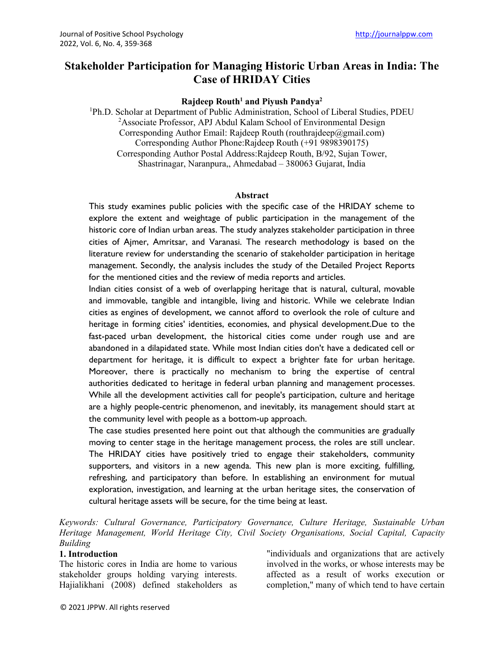# **Stakeholder Participation for Managing Historic Urban Areas in India: The Case of HRIDAY Cities**

#### **Rajdeep Routh1 and Piyush Pandya2**

<sup>1</sup>Ph.D. Scholar at Department of Public Administration, School of Liberal Studies, PDEU <sup>2</sup>Associate Professor, APJ Abdul Kalam School of Environmental Design Corresponding Author Email: Rajdeep Routh (routhrajdeep@gmail.com) Corresponding Author Phone:Rajdeep Routh (+91 9898390175) Corresponding Author Postal Address:Rajdeep Routh, B/92, Sujan Tower, Shastrinagar, Naranpura,, Ahmedabad – 380063 Gujarat, India

#### **Abstract**

This study examines public policies with the specific case of the HRIDAY scheme to explore the extent and weightage of public participation in the management of the historic core of Indian urban areas. The study analyzes stakeholder participation in three cities of Ajmer, Amritsar, and Varanasi. The research methodology is based on the literature review for understanding the scenario of stakeholder participation in heritage management. Secondly, the analysis includes the study of the Detailed Project Reports for the mentioned cities and the review of media reports and articles.

Indian cities consist of a web of overlapping heritage that is natural, cultural, movable and immovable, tangible and intangible, living and historic. While we celebrate Indian cities as engines of development, we cannot afford to overlook the role of culture and heritage in forming cities' identities, economies, and physical development.Due to the fast-paced urban development, the historical cities come under rough use and are abandoned in a dilapidated state. While most Indian cities don't have a dedicated cell or department for heritage, it is difficult to expect a brighter fate for urban heritage. Moreover, there is practically no mechanism to bring the expertise of central authorities dedicated to heritage in federal urban planning and management processes. While all the development activities call for people's participation, culture and heritage are a highly people-centric phenomenon, and inevitably, its management should start at the community level with people as a bottom-up approach.

The case studies presented here point out that although the communities are gradually moving to center stage in the heritage management process, the roles are still unclear. The HRIDAY cities have positively tried to engage their stakeholders, community supporters, and visitors in a new agenda. This new plan is more exciting, fulfilling, refreshing, and participatory than before. In establishing an environment for mutual exploration, investigation, and learning at the urban heritage sites, the conservation of cultural heritage assets will be secure, for the time being at least.

*Keywords: Cultural Governance, Participatory Governance, Culture Heritage, Sustainable Urban Heritage Management, World Heritage City, Civil Society Organisations, Social Capital, Capacity Building*

#### **1. Introduction**

The historic cores in India are home to various stakeholder groups holding varying interests. Hajialikhani (2008) defined stakeholders as "individuals and organizations that are actively involved in the works, or whose interests may be affected as a result of works execution or completion," many of which tend to have certain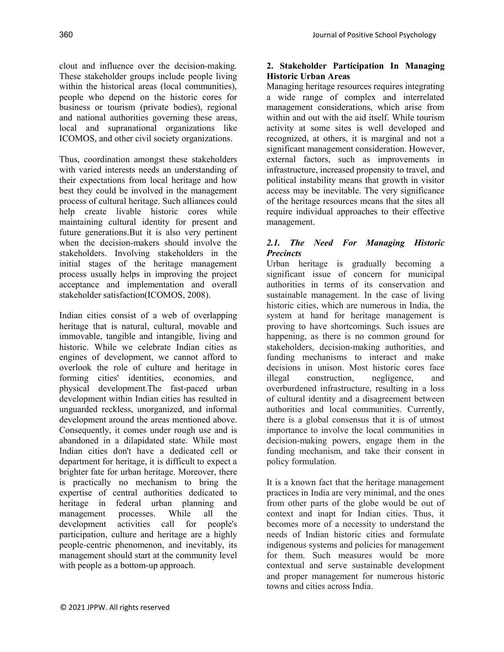clout and influence over the decision-making. These stakeholder groups include people living within the historical areas (local communities), people who depend on the historic cores for business or tourism (private bodies), regional and national authorities governing these areas, local and supranational organizations like ICOMOS, and other civil society organizations.

Thus, coordination amongst these stakeholders with varied interests needs an understanding of their expectations from local heritage and how best they could be involved in the management process of cultural heritage. Such alliances could help create livable historic cores while maintaining cultural identity for present and future generations.But it is also very pertinent when the decision-makers should involve the stakeholders. Involving stakeholders in the initial stages of the heritage management process usually helps in improving the project acceptance and implementation and overall stakeholder satisfaction(ICOMOS, 2008).

Indian cities consist of a web of overlapping heritage that is natural, cultural, movable and immovable, tangible and intangible, living and historic. While we celebrate Indian cities as engines of development, we cannot afford to overlook the role of culture and heritage in forming cities' identities, economies, and physical development.The fast-paced urban development within Indian cities has resulted in unguarded reckless, unorganized, and informal development around the areas mentioned above. Consequently, it comes under rough use and is abandoned in a dilapidated state. While most Indian cities don't have a dedicated cell or department for heritage, it is difficult to expect a brighter fate for urban heritage. Moreover, there is practically no mechanism to bring the expertise of central authorities dedicated to heritage in federal urban planning and management processes. While all the development activities call for people's participation, culture and heritage are a highly people-centric phenomenon, and inevitably, its management should start at the community level with people as a bottom-up approach.

#### **2. Stakeholder Participation In Managing Historic Urban Areas**

Managing heritage resources requires integrating a wide range of complex and interrelated management considerations, which arise from within and out with the aid itself. While tourism activity at some sites is well developed and recognized, at others, it is marginal and not a significant management consideration. However, external factors, such as improvements in infrastructure, increased propensity to travel, and political instability means that growth in visitor access may be inevitable. The very significance of the heritage resources means that the sites all require individual approaches to their effective management.

### *2.1. The Need For Managing Historic Precincts*

Urban heritage is gradually becoming a significant issue of concern for municipal authorities in terms of its conservation and sustainable management. In the case of living historic cities, which are numerous in India, the system at hand for heritage management is proving to have shortcomings. Such issues are happening, as there is no common ground for stakeholders, decision-making authorities, and funding mechanisms to interact and make decisions in unison. Most historic cores face illegal construction, negligence, and overburdened infrastructure, resulting in a loss of cultural identity and a disagreement between authorities and local communities. Currently, there is a global consensus that it is of utmost importance to involve the local communities in decision-making powers, engage them in the funding mechanism, and take their consent in policy formulation.

It is a known fact that the heritage management practices in India are very minimal, and the ones from other parts of the globe would be out of context and inapt for Indian cities. Thus, it becomes more of a necessity to understand the needs of Indian historic cities and formulate indigenous systems and policies for management for them. Such measures would be more contextual and serve sustainable development and proper management for numerous historic towns and cities across India.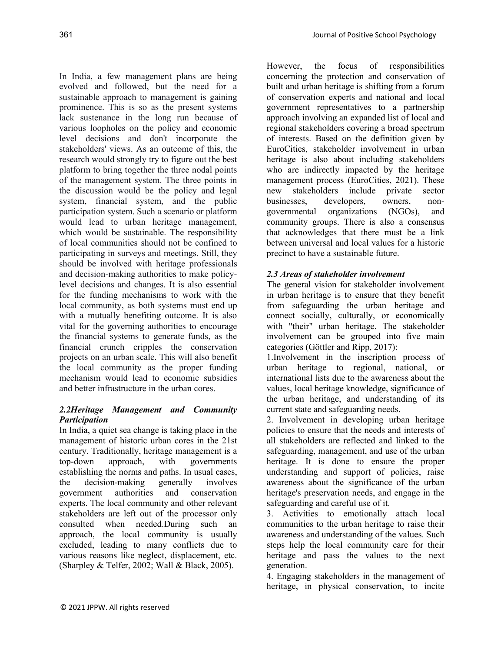In India, a few management plans are being evolved and followed, but the need for a sustainable approach to management is gaining prominence. This is so as the present systems lack sustenance in the long run because of various loopholes on the policy and economic level decisions and don't incorporate the stakeholders' views. As an outcome of this, the research would strongly try to figure out the best platform to bring together the three nodal points of the management system. The three points in the discussion would be the policy and legal system, financial system, and the public participation system. Such a scenario or platform would lead to urban heritage management, which would be sustainable. The responsibility of local communities should not be confined to participating in surveys and meetings. Still, they should be involved with heritage professionals and decision-making authorities to make policylevel decisions and changes. It is also essential for the funding mechanisms to work with the local community, as both systems must end up with a mutually benefiting outcome. It is also vital for the governing authorities to encourage the financial systems to generate funds, as the financial crunch cripples the conservation projects on an urban scale. This will also benefit the local community as the proper funding mechanism would lead to economic subsidies and better infrastructure in the urban cores.

## *2.2Heritage Management and Community Participation*

In India, a quiet sea change is taking place in the management of historic urban cores in the 21st century. Traditionally, heritage management is a<br>top-down approach, with governments top-down approach, with governments establishing the norms and paths. In usual cases, the decision-making generally involves government authorities and conservation experts. The local community and other relevant stakeholders are left out of the processor only consulted when needed.During such an approach, the local community is usually excluded, leading to many conflicts due to various reasons like neglect, displacement, etc. (Sharpley & Telfer, 2002; Wall & Black, 2005).

However, the focus of responsibilities concerning the protection and conservation of built and urban heritage is shifting from a forum of conservation experts and national and local government representatives to a partnership approach involving an expanded list of local and regional stakeholders covering a broad spectrum of interests. Based on the definition given by EuroCities, stakeholder involvement in urban heritage is also about including stakeholders who are indirectly impacted by the heritage management process (EuroCities, 2021). These new stakeholders include private sector businesses, developers, owners, nongovernmental organizations (NGOs), and community groups. There is also a consensus that acknowledges that there must be a link between universal and local values for a historic precinct to have a sustainable future.

## *2.3 Areas of stakeholder involvement*

The general vision for stakeholder involvement in urban heritage is to ensure that they benefit from safeguarding the urban heritage and connect socially, culturally, or economically with "their" urban heritage. The stakeholder involvement can be grouped into five main categories (Göttler and Ripp, 2017):

1.Involvement in the inscription process of urban heritage to regional, national, or international lists due to the awareness about the values, local heritage knowledge, significance of the urban heritage, and understanding of its current state and safeguarding needs.

2. Involvement in developing urban heritage policies to ensure that the needs and interests of all stakeholders are reflected and linked to the safeguarding, management, and use of the urban heritage. It is done to ensure the proper understanding and support of policies, raise awareness about the significance of the urban heritage's preservation needs, and engage in the safeguarding and careful use of it.

3. Activities to emotionally attach local communities to the urban heritage to raise their awareness and understanding of the values. Such steps help the local community care for their heritage and pass the values to the next generation.

4. Engaging stakeholders in the management of heritage, in physical conservation, to incite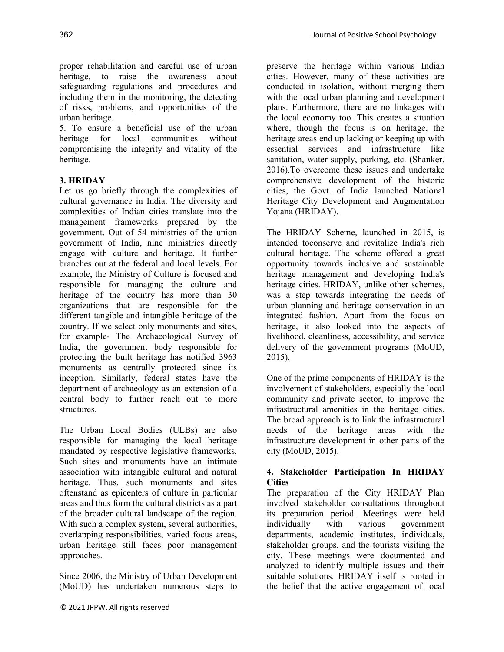proper rehabilitation and careful use of urban heritage, to raise the awareness about safeguarding regulations and procedures and including them in the monitoring, the detecting of risks, problems, and opportunities of the urban heritage.

5. To ensure a beneficial use of the urban heritage for local communities without compromising the integrity and vitality of the heritage.

### **3. HRIDAY**

Let us go briefly through the complexities of cultural governance in India. The diversity and complexities of Indian cities translate into the management frameworks prepared by the government. Out of 54 ministries of the union government of India, nine ministries directly engage with culture and heritage. It further branches out at the federal and local levels. For example, the Ministry of Culture is focused and responsible for managing the culture and heritage of the country has more than 30 organizations that are responsible for the different tangible and intangible heritage of the country. If we select only monuments and sites, for example- The Archaeological Survey of India, the government body responsible for protecting the built heritage has notified 3963 monuments as centrally protected since its inception. Similarly, federal states have the department of archaeology as an extension of a central body to further reach out to more structures.

The Urban Local Bodies (ULBs) are also responsible for managing the local heritage mandated by respective legislative frameworks. Such sites and monuments have an intimate association with intangible cultural and natural heritage. Thus, such monuments and sites oftenstand as epicenters of culture in particular areas and thus form the cultural districts as a part of the broader cultural landscape of the region. With such a complex system, several authorities, overlapping responsibilities, varied focus areas, urban heritage still faces poor management approaches.

Since 2006, the Ministry of Urban Development (MoUD) has undertaken numerous steps to preserve the heritage within various Indian cities. However, many of these activities are conducted in isolation, without merging them with the local urban planning and development plans. Furthermore, there are no linkages with the local economy too. This creates a situation where, though the focus is on heritage, the heritage areas end up lacking or keeping up with essential services and infrastructure like sanitation, water supply, parking, etc. (Shanker, 2016).To overcome these issues and undertake comprehensive development of the historic cities, the Govt. of India launched National Heritage City Development and Augmentation Yojana (HRIDAY).

The HRIDAY Scheme, launched in 2015, is intended toconserve and revitalize India's rich cultural heritage. The scheme offered a great opportunity towards inclusive and sustainable heritage management and developing India's heritage cities. HRIDAY, unlike other schemes, was a step towards integrating the needs of urban planning and heritage conservation in an integrated fashion. Apart from the focus on heritage, it also looked into the aspects of livelihood, cleanliness, accessibility, and service delivery of the government programs (MoUD, 2015).

One of the prime components of HRIDAY is the involvement of stakeholders, especially the local community and private sector, to improve the infrastructural amenities in the heritage cities. The broad approach is to link the infrastructural needs of the heritage areas with the infrastructure development in other parts of the city (MoUD, 2015).

#### **4. Stakeholder Participation In HRIDAY Cities**

The preparation of the City HRIDAY Plan involved stakeholder consultations throughout its preparation period. Meetings were held individually with various government departments, academic institutes, individuals, stakeholder groups, and the tourists visiting the city. These meetings were documented and analyzed to identify multiple issues and their suitable solutions. HRIDAY itself is rooted in the belief that the active engagement of local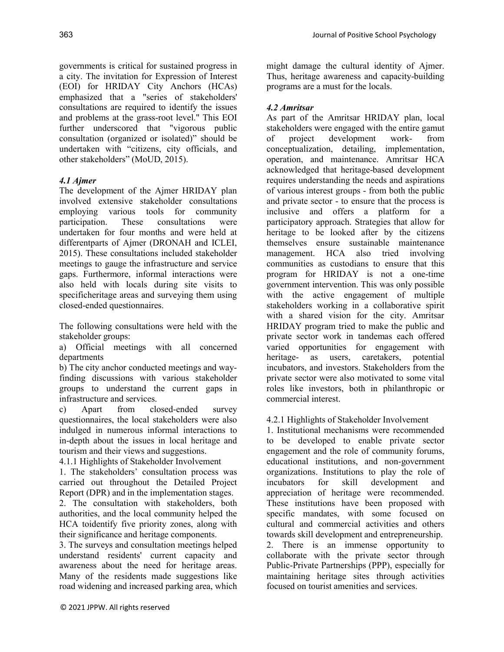governments is critical for sustained progress in a city. The invitation for Expression of Interest (EOI) for HRIDAY City Anchors (HCAs) emphasized that a "series of stakeholders' consultations are required to identify the issues and problems at the grass-root level." This EOI further underscored that "vigorous public consultation (organized or isolated)" should be undertaken with "citizens, city officials, and other stakeholders" (MoUD, 2015).

# *4.1 Ajmer*

The development of the Ajmer HRIDAY plan involved extensive stakeholder consultations employing various tools for community participation. These consultations were undertaken for four months and were held at differentparts of Ajmer (DRONAH and ICLEI, 2015). These consultations included stakeholder meetings to gauge the infrastructure and service gaps. Furthermore, informal interactions were also held with locals during site visits to specificheritage areas and surveying them using closed-ended questionnaires.

The following consultations were held with the stakeholder groups:

a) Official meetings with all concerned departments

b) The city anchor conducted meetings and wayfinding discussions with various stakeholder groups to understand the current gaps in infrastructure and services.

c) Apart from closed-ended survey questionnaires, the local stakeholders were also indulged in numerous informal interactions to in-depth about the issues in local heritage and tourism and their views and suggestions.

4.1.1 Highlights of Stakeholder Involvement

1. The stakeholders' consultation process was carried out throughout the Detailed Project Report (DPR) and in the implementation stages.

2. The consultation with stakeholders, both authorities, and the local community helped the HCA toidentify five priority zones, along with their significance and heritage components.

3. The surveys and consultation meetings helped understand residents' current capacity and awareness about the need for heritage areas. Many of the residents made suggestions like road widening and increased parking area, which

might damage the cultural identity of Ajmer. Thus, heritage awareness and capacity-building programs are a must for the locals.

## *4.2 Amritsar*

As part of the Amritsar HRIDAY plan, local stakeholders were engaged with the entire gamut of project development work- from conceptualization, detailing, implementation, operation, and maintenance. Amritsar HCA acknowledged that heritage-based development requires understanding the needs and aspirations of various interest groups - from both the public and private sector - to ensure that the process is inclusive and offers a platform for a participatory approach. Strategies that allow for heritage to be looked after by the citizens themselves ensure sustainable maintenance management. HCA also tried involving communities as custodians to ensure that this program for HRIDAY is not a one-time government intervention. This was only possible with the active engagement of multiple stakeholders working in a collaborative spirit with a shared vision for the city. Amritsar HRIDAY program tried to make the public and private sector work in tandemas each offered varied opportunities for engagement with heritage- as users, caretakers, potential incubators, and investors. Stakeholders from the private sector were also motivated to some vital roles like investors, both in philanthropic or commercial interest.

4.2.1 Highlights of Stakeholder Involvement

1. Institutional mechanisms were recommended to be developed to enable private sector engagement and the role of community forums, educational institutions, and non-government organizations. Institutions to play the role of incubators for skill development and appreciation of heritage were recommended. These institutions have been proposed with specific mandates, with some focused on cultural and commercial activities and others towards skill development and entrepreneurship. 2. There is an immense opportunity to collaborate with the private sector through Public-Private Partnerships (PPP), especially for maintaining heritage sites through activities focused on tourist amenities and services.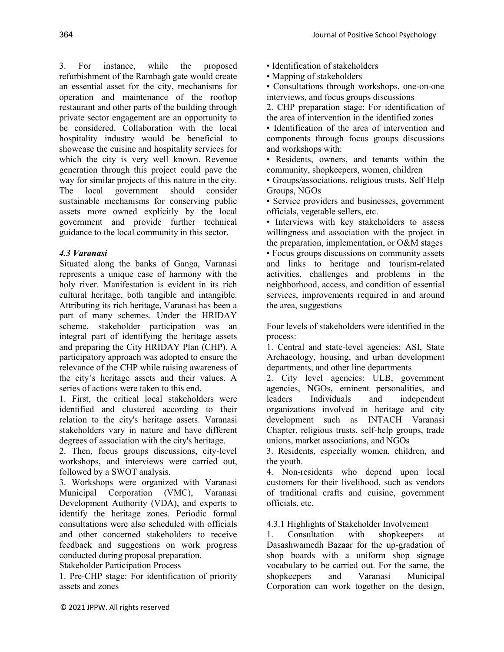3. For instance, while the proposed refurbishment of the Rambagh gate would create an essential asset for the city, mechanisms for operation and maintenance of the rooftop restaurant and other parts of the building through private sector engagement are an opportunity to be considered. Collaboration with the local hospitality industry would be beneficial to showcase the cuisine and hospitality services for which the city is very well known. Revenue generation through this project could pave the way for similar projects of this nature in the city. The local government should consider sustainable mechanisms for conserving public assets more owned explicitly by the local government and provide further technical guidance to the local community in this sector.

### *4.3 Varanasi*

Situated along the banks of Ganga, Varanasi represents a unique case of harmony with the holy river. Manifestation is evident in its rich cultural heritage, both tangible and intangible. Attributing its rich heritage, Varanasi has been a part of many schemes. Under the HRIDAY scheme, stakeholder participation was an integral part of identifying the heritage assets and preparing the City HRIDAY Plan (CHP). A participatory approach was adopted to ensure the relevance of the CHP while raising awareness of the city's heritage assets and their values. A series of actions were taken to this end.

1. First, the critical local stakeholders were identified and clustered according to their relation to the city's heritage assets. Varanasi stakeholders vary in nature and have different degrees of association with the city's heritage.

2. Then, focus groups discussions, city-level workshops, and interviews were carried out, followed by a SWOT analysis.

3. Workshops were organized with Varanasi Municipal Corporation (VMC), Varanasi Development Authority (VDA), and experts to identify the heritage zones. Periodic formal consultations were also scheduled with officials and other concerned stakeholders to receive feedback and suggestions on work progress conducted during proposal preparation.

Stakeholder Participation Process

1. Pre-CHP stage: For identification of priority assets and zones

- Identification of stakeholders
- Mapping of stakeholders

• Consultations through workshops, one-on-one interviews, and focus groups discussions

2. CHP preparation stage: For identification of the area of intervention in the identified zones

• Identification of the area of intervention and components through focus groups discussions and workshops with:

• Residents, owners, and tenants within the community, shopkeepers, women, children

• Groups/associations, religious trusts, Self Help Groups, NGOs

• Service providers and businesses, government officials, vegetable sellers, etc.

• Interviews with key stakeholders to assess willingness and association with the project in the preparation, implementation, or O&M stages • Focus groups discussions on community assets and links to heritage and tourism-related activities, challenges and problems in the neighborhood, access, and condition of essential services, improvements required in and around the area, suggestions

Four levels of stakeholders were identified in the process:

1. Central and state-level agencies: ASI, State Archaeology, housing, and urban development departments, and other line departments

2. City level agencies: ULB, government agencies, NGOs, eminent personalities, and leaders Individuals and independent organizations involved in heritage and city development such as INTACH Varanasi Chapter, religious trusts, self-help groups, trade unions, market associations, and NGOs

3. Residents, especially women, children, and the youth.

4. Non-residents who depend upon local customers for their livelihood, such as vendors of traditional crafts and cuisine, government officials, etc.

4.3.1 Highlights of Stakeholder Involvement

1. Consultation with shopkeepers at Dasashwamedh Bazaar for the up-gradation of shop boards with a uniform shop signage vocabulary to be carried out. For the same, the shopkeepers and Varanasi Municipal Corporation can work together on the design,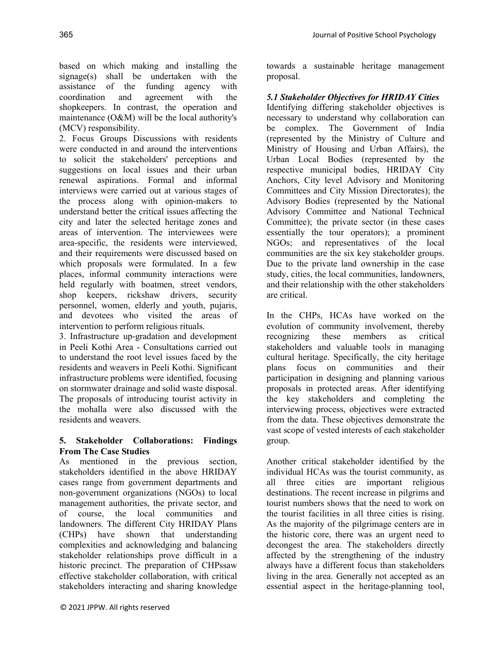based on which making and installing the signage(s) shall be undertaken with the assistance of the funding agency with coordination and agreement with the shopkeepers. In contrast, the operation and maintenance (O&M) will be the local authority's (MCV) responsibility.

2. Focus Groups Discussions with residents were conducted in and around the interventions to solicit the stakeholders' perceptions and suggestions on local issues and their urban renewal aspirations. Formal and informal interviews were carried out at various stages of the process along with opinion-makers to understand better the critical issues affecting the city and later the selected heritage zones and areas of intervention. The interviewees were area-specific, the residents were interviewed, and their requirements were discussed based on which proposals were formulated. In a few places, informal community interactions were held regularly with boatmen, street vendors, shop keepers, rickshaw drivers, security personnel, women, elderly and youth, pujaris, and devotees who visited the areas of intervention to perform religious rituals.

3. Infrastructure up-gradation and development in Peeli Kothi Area - Consultations carried out to understand the root level issues faced by the residents and weavers in Peeli Kothi. Significant infrastructure problems were identified, focusing on stormwater drainage and solid waste disposal. The proposals of introducing tourist activity in the mohalla were also discussed with the residents and weavers.

### **5. Stakeholder Collaborations: Findings From The Case Studies**

As mentioned in the previous section, stakeholders identified in the above HRIDAY cases range from government departments and non-government organizations (NGOs) to local management authorities, the private sector, and of course, the local communities and landowners. The different City HRIDAY Plans (CHPs) have shown that understanding complexities and acknowledging and balancing stakeholder relationships prove difficult in a historic precinct. The preparation of CHPssaw effective stakeholder collaboration, with critical stakeholders interacting and sharing knowledge

towards a sustainable heritage management proposal.

*5.1 Stakeholder Objectives for HRIDAY Cities*

Identifying differing stakeholder objectives is necessary to understand why collaboration can be complex. The Government of India (represented by the Ministry of Culture and Ministry of Housing and Urban Affairs), the Urban Local Bodies (represented by the respective municipal bodies, HRIDAY City Anchors, City level Advisory and Monitoring Committees and City Mission Directorates); the Advisory Bodies (represented by the National Advisory Committee and National Technical Committee); the private sector (in these cases essentially the tour operators); a prominent NGOs; and representatives of the local communities are the six key stakeholder groups. Due to the private land ownership in the case study, cities, the local communities, landowners, and their relationship with the other stakeholders are critical.

In the CHPs, HCAs have worked on the evolution of community involvement, thereby recognizing these members as critical stakeholders and valuable tools in managing cultural heritage. Specifically, the city heritage plans focus on communities and their participation in designing and planning various proposals in protected areas. After identifying the key stakeholders and completing the interviewing process, objectives were extracted from the data. These objectives demonstrate the vast scope of vested interests of each stakeholder group.

Another critical stakeholder identified by the individual HCAs was the tourist community, as all three cities are important religious destinations. The recent increase in pilgrims and tourist numbers shows that the need to work on the tourist facilities in all three cities is rising. As the majority of the pilgrimage centers are in the historic core, there was an urgent need to decongest the area. The stakeholders directly affected by the strengthening of the industry always have a different focus than stakeholders living in the area. Generally not accepted as an essential aspect in the heritage-planning tool,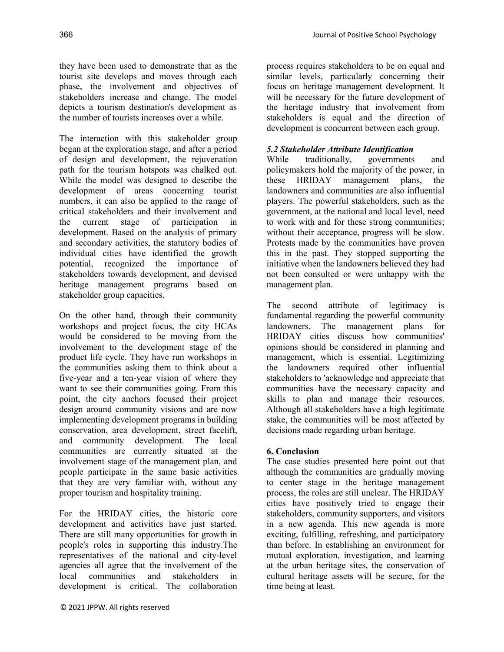they have been used to demonstrate that as the tourist site develops and moves through each phase, the involvement and objectives of stakeholders increase and change. The model depicts a tourism destination's development as the number of tourists increases over a while.

The interaction with this stakeholder group began at the exploration stage, and after a period of design and development, the rejuvenation path for the tourism hotspots was chalked out. While the model was designed to describe the development of areas concerning tourist numbers, it can also be applied to the range of critical stakeholders and their involvement and the current stage of participation in development. Based on the analysis of primary and secondary activities, the statutory bodies of individual cities have identified the growth potential, recognized the importance of stakeholders towards development, and devised heritage management programs based on stakeholder group capacities.

On the other hand, through their community workshops and project focus, the city HCAs would be considered to be moving from the involvement to the development stage of the product life cycle. They have run workshops in the communities asking them to think about a five-year and a ten-year vision of where they want to see their communities going. From this point, the city anchors focused their project design around community visions and are now implementing development programs in building conservation, area development, street facelift, and community development. The local communities are currently situated at the involvement stage of the management plan, and people participate in the same basic activities that they are very familiar with, without any proper tourism and hospitality training.

For the HRIDAY cities, the historic core development and activities have just started. There are still many opportunities for growth in people's roles in supporting this industry.The representatives of the national and city-level agencies all agree that the involvement of the local communities and stakeholders in development is critical. The collaboration

process requires stakeholders to be on equal and similar levels, particularly concerning their focus on heritage management development. It will be necessary for the future development of the heritage industry that involvement from stakeholders is equal and the direction of development is concurrent between each group.

#### *5.2 Stakeholder Attribute Identification*

While traditionally, governments and policymakers hold the majority of the power, in these HRIDAY management plans, the landowners and communities are also influential players. The powerful stakeholders, such as the government, at the national and local level, need to work with and for these strong communities; without their acceptance, progress will be slow. Protests made by the communities have proven this in the past. They stopped supporting the initiative when the landowners believed they had not been consulted or were unhappy with the management plan.

The second attribute of legitimacy is fundamental regarding the powerful community landowners. The management plans for HRIDAY cities discuss how communities' opinions should be considered in planning and management, which is essential. Legitimizing the landowners required other influential stakeholders to 'acknowledge and appreciate that communities have the necessary capacity and skills to plan and manage their resources. Although all stakeholders have a high legitimate stake, the communities will be most affected by decisions made regarding urban heritage.

#### **6. Conclusion**

The case studies presented here point out that although the communities are gradually moving to center stage in the heritage management process, the roles are still unclear. The HRIDAY cities have positively tried to engage their stakeholders, community supporters, and visitors in a new agenda. This new agenda is more exciting, fulfilling, refreshing, and participatory than before. In establishing an environment for mutual exploration, investigation, and learning at the urban heritage sites, the conservation of cultural heritage assets will be secure, for the time being at least.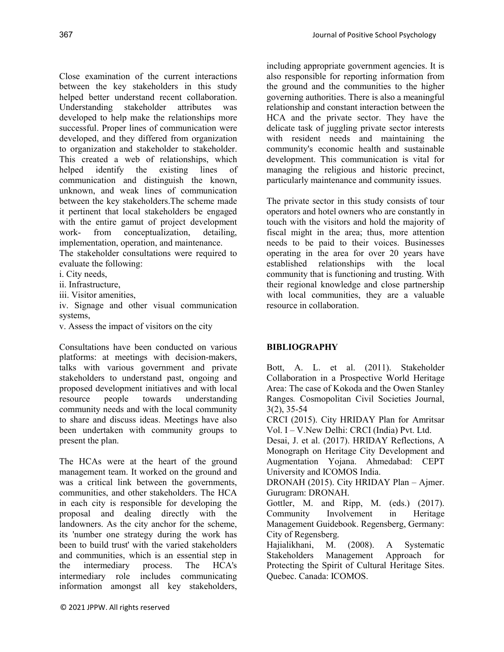Close examination of the current interactions between the key stakeholders in this study helped better understand recent collaboration. Understanding stakeholder attributes was developed to help make the relationships more successful. Proper lines of communication were developed, and they differed from organization to organization and stakeholder to stakeholder. This created a web of relationships, which helped identify the existing lines of communication and distinguish the known, unknown, and weak lines of communication between the key stakeholders.The scheme made it pertinent that local stakeholders be engaged with the entire gamut of project development work- from conceptualization, detailing, implementation, operation, and maintenance.

The stakeholder consultations were required to evaluate the following:

- i. City needs,
- ii. Infrastructure,
- iii. Visitor amenities,

iv. Signage and other visual communication systems,

v. Assess the impact of visitors on the city

Consultations have been conducted on various platforms: at meetings with decision-makers, talks with various government and private stakeholders to understand past, ongoing and proposed development initiatives and with local resource people towards understanding community needs and with the local community to share and discuss ideas. Meetings have also been undertaken with community groups to present the plan.

The HCAs were at the heart of the ground management team. It worked on the ground and was a critical link between the governments, communities, and other stakeholders. The HCA in each city is responsible for developing the proposal and dealing directly with the landowners. As the city anchor for the scheme, its 'number one strategy during the work has been to build trust' with the varied stakeholders and communities, which is an essential step in the intermediary process. The HCA's intermediary role includes communicating information amongst all key stakeholders,

including appropriate government agencies. It is also responsible for reporting information from the ground and the communities to the higher governing authorities. There is also a meaningful relationship and constant interaction between the HCA and the private sector. They have the delicate task of juggling private sector interests with resident needs and maintaining the community's economic health and sustainable development. This communication is vital for managing the religious and historic precinct, particularly maintenance and community issues.

The private sector in this study consists of tour operators and hotel owners who are constantly in touch with the visitors and hold the majority of fiscal might in the area; thus, more attention needs to be paid to their voices. Businesses operating in the area for over 20 years have established relationships with the local community that is functioning and trusting. With their regional knowledge and close partnership with local communities, they are a valuable resource in collaboration.

### **BIBLIOGRAPHY**

Bott, A. L. et al. (2011). Stakeholder Collaboration in a Prospective World Heritage Area: The case of Kokoda and the Owen Stanley Ranges*.* Cosmopolitan Civil Societies Journal, 3(2), 35-54

CRCI (2015). City HRIDAY Plan for Amritsar Vol. I – V.New Delhi: CRCI (India) Pvt. Ltd.

Desai, J. et al. (2017). HRIDAY Reflections, A Monograph on Heritage City Development and Augmentation Yojana. Ahmedabad: CEPT University and ICOMOS India.

DRONAH (2015). City HRIDAY Plan – Ajmer. Gurugram: DRONAH.

Gottler, M. and Ripp, M. (eds.) (2017). Community Involvement in Heritage Management Guidebook. Regensberg, Germany: City of Regensberg.

Hajialikhani, M. (2008). A Systematic Stakeholders Management Approach for Protecting the Spirit of Cultural Heritage Sites. Quebec. Canada: ICOMOS.